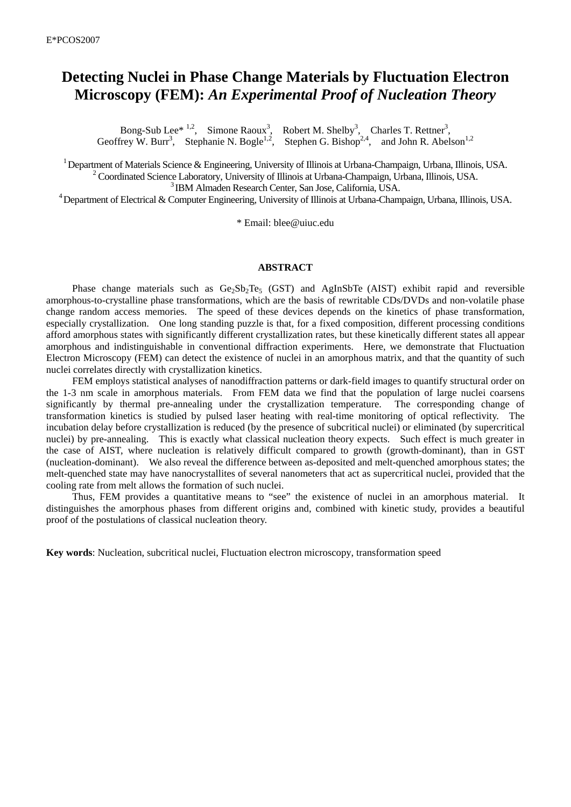## **Detecting Nuclei in Phase Change Materials by Fluctuation Electron Microscopy (FEM):** *An Experimental Proof of Nucleation Theory*

Bong-Sub Lee<sup>\* 1,2</sup>, Simone Raoux<sup>3</sup>, Robert M. Shelby<sup>3</sup>, Charles T. Rettner<sup>3</sup>, Geoffrey W. Burr<sup>3</sup>, Stephanie N. Bogle<sup>1,2</sup>, Stephen G. Bishop<sup>2,4</sup>, and John R. Abelson<sup>1,2</sup>

<sup>1</sup> Department of Materials Science & Engineering, University of Illinois at Urbana-Champaign, Urbana, Illinois, USA. <sup>2</sup> Coordinated Science Laboratory, University of Illinois at Urbana-Champaign, Urbana, Illinois, USA. 3 IBM Almaden Research Center, San Jose, California, USA.

 $4$  Department of Electrical & Computer Engineering, University of Illinois at Urbana-Champaign, Urbana, Illinois, USA.

\* Email: blee@uiuc.edu

## **ABSTRACT**

Phase change materials such as  $Ge_2Sb_2Te_5$  (GST) and AgInSbTe (AIST) exhibit rapid and reversible amorphous-to-crystalline phase transformations, which are the basis of rewritable CDs/DVDs and non-volatile phase change random access memories. The speed of these devices depends on the kinetics of phase transformation, especially crystallization. One long standing puzzle is that, for a fixed composition, different processing conditions afford amorphous states with significantly different crystallization rates, but these kinetically different states all appear amorphous and indistinguishable in conventional diffraction experiments. Here, we demonstrate that Fluctuation Electron Microscopy (FEM) can detect the existence of nuclei in an amorphous matrix, and that the quantity of such nuclei correlates directly with crystallization kinetics.

FEM employs statistical analyses of nanodiffraction patterns or dark-field images to quantify structural order on the 1-3 nm scale in amorphous materials. From FEM data we find that the population of large nuclei coarsens significantly by thermal pre-annealing under the crystallization temperature. The corresponding change of transformation kinetics is studied by pulsed laser heating with real-time monitoring of optical reflectivity. The incubation delay before crystallization is reduced (by the presence of subcritical nuclei) or eliminated (by supercritical nuclei) by pre-annealing. This is exactly what classical nucleation theory expects. Such effect is much greater in the case of AIST, where nucleation is relatively difficult compared to growth (growth-dominant), than in GST (nucleation-dominant). We also reveal the difference between as-deposited and melt-quenched amorphous states; the melt-quenched state may have nanocrystallites of several nanometers that act as supercritical nuclei, provided that the cooling rate from melt allows the formation of such nuclei.

Thus, FEM provides a quantitative means to "see" the existence of nuclei in an amorphous material. It distinguishes the amorphous phases from different origins and, combined with kinetic study, provides a beautiful proof of the postulations of classical nucleation theory.

**Key words**: Nucleation, subcritical nuclei, Fluctuation electron microscopy, transformation speed